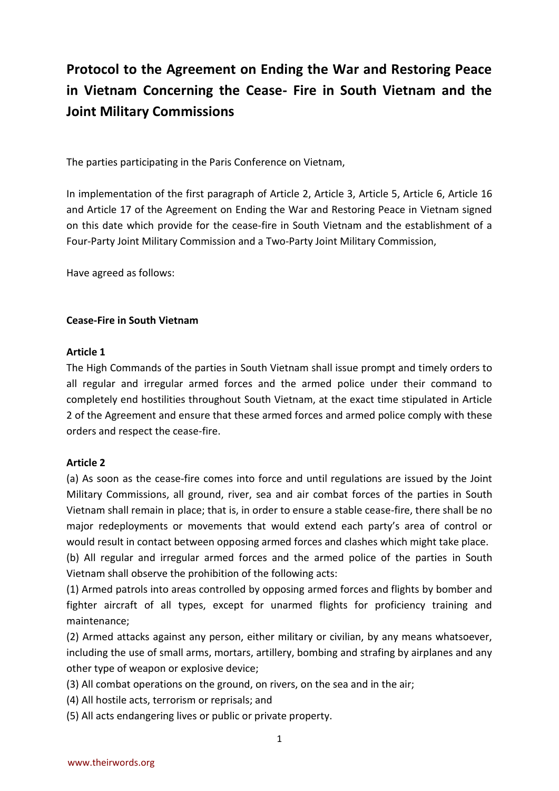# **Protocol to the Agreement on Ending the War and Restoring Peace in Vietnam Concerning the Cease- Fire in South Vietnam and the Joint Military Commissions**

The parties participating in the Paris Conference on Vietnam,

In implementation of the first paragraph of Article 2, Article 3, Article 5, Article 6, Article 16 and Article 17 of the Agreement on Ending the War and Restoring Peace in Vietnam signed on this date which provide for the cease-fire in South Vietnam and the establishment of a Four-Party Joint Military Commission and a Two-Party Joint Military Commission,

Have agreed as follows:

#### **Cease-Fire in South Vietnam**

#### **Article 1**

The High Commands of the parties in South Vietnam shall issue prompt and timely orders to all regular and irregular armed forces and the armed police under their command to completely end hostilities throughout South Vietnam, at the exact time stipulated in Article 2 of the Agreement and ensure that these armed forces and armed police comply with these orders and respect the cease-fire.

#### **Article 2**

(a) As soon as the cease-fire comes into force and until regulations are issued by the Joint Military Commissions, all ground, river, sea and air combat forces of the parties in South Vietnam shall remain in place; that is, in order to ensure a stable cease-fire, there shall be no major redeployments or movements that would extend each party's area of control or would result in contact between opposing armed forces and clashes which might take place.

(b) All regular and irregular armed forces and the armed police of the parties in South Vietnam shall observe the prohibition of the following acts:

(1) Armed patrols into areas controlled by opposing armed forces and flights by bomber and fighter aircraft of all types, except for unarmed flights for proficiency training and maintenance;

(2) Armed attacks against any person, either military or civilian, by any means whatsoever, including the use of small arms, mortars, artillery, bombing and strafing by airplanes and any other type of weapon or explosive device;

- (3) All combat operations on the ground, on rivers, on the sea and in the air;
- (4) All hostile acts, terrorism or reprisals; and
- (5) All acts endangering lives or public or private property.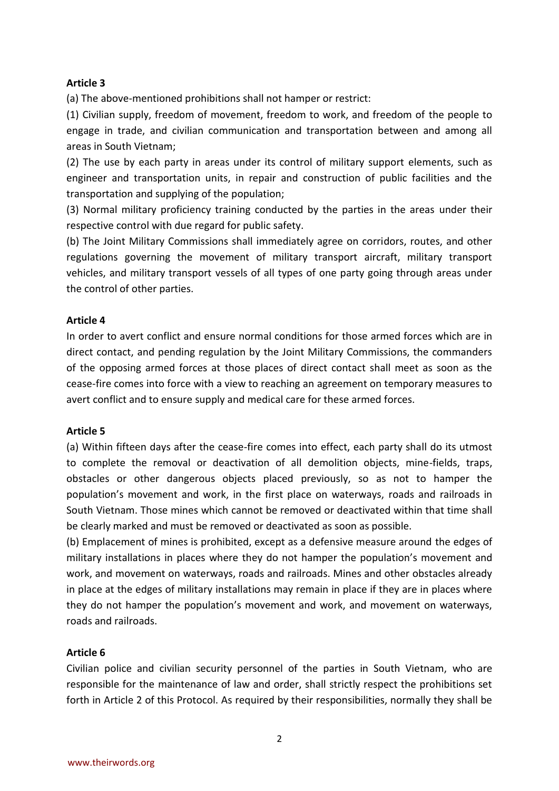#### **Article 3**

(a) The above-mentioned prohibitions shall not hamper or restrict:

(1) Civilian supply, freedom of movement, freedom to work, and freedom of the people to engage in trade, and civilian communication and transportation between and among all areas in South Vietnam;

(2) The use by each party in areas under its control of military support elements, such as engineer and transportation units, in repair and construction of public facilities and the transportation and supplying of the population;

(3) Normal military proficiency training conducted by the parties in the areas under their respective control with due regard for public safety.

(b) The Joint Military Commissions shall immediately agree on corridors, routes, and other regulations governing the movement of military transport aircraft, military transport vehicles, and military transport vessels of all types of one party going through areas under the control of other parties.

#### **Article 4**

In order to avert conflict and ensure normal conditions for those armed forces which are in direct contact, and pending regulation by the Joint Military Commissions, the commanders of the opposing armed forces at those places of direct contact shall meet as soon as the cease-fire comes into force with a view to reaching an agreement on temporary measures to avert conflict and to ensure supply and medical care for these armed forces.

#### **Article 5**

(a) Within fifteen days after the cease-fire comes into effect, each party shall do its utmost to complete the removal or deactivation of all demolition objects, mine-fields, traps, obstacles or other dangerous objects placed previously, so as not to hamper the population's movement and work, in the first place on waterways, roads and railroads in South Vietnam. Those mines which cannot be removed or deactivated within that time shall be clearly marked and must be removed or deactivated as soon as possible.

(b) Emplacement of mines is prohibited, except as a defensive measure around the edges of military installations in places where they do not hamper the population's movement and work, and movement on waterways, roads and railroads. Mines and other obstacles already in place at the edges of military installations may remain in place if they are in places where they do not hamper the population's movement and work, and movement on waterways, roads and railroads.

# **Article 6**

Civilian police and civilian security personnel of the parties in South Vietnam, who are responsible for the maintenance of law and order, shall strictly respect the prohibitions set forth in Article 2 of this Protocol. As required by their responsibilities, normally they shall be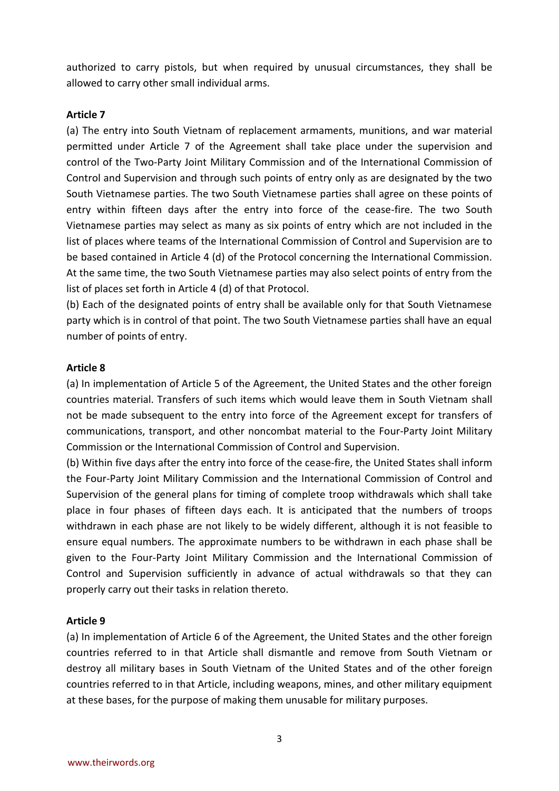authorized to carry pistols, but when required by unusual circumstances, they shall be allowed to carry other small individual arms.

#### **Article 7**

(a) The entry into South Vietnam of replacement armaments, munitions, and war material permitted under Article 7 of the Agreement shall take place under the supervision and control of the Two-Party Joint Military Commission and of the International Commission of Control and Supervision and through such points of entry only as are designated by the two South Vietnamese parties. The two South Vietnamese parties shall agree on these points of entry within fifteen days after the entry into force of the cease-fire. The two South Vietnamese parties may select as many as six points of entry which are not included in the list of places where teams of the International Commission of Control and Supervision are to be based contained in Article 4 (d) of the Protocol concerning the International Commission. At the same time, the two South Vietnamese parties may also select points of entry from the list of places set forth in Article 4 (d) of that Protocol.

(b) Each of the designated points of entry shall be available only for that South Vietnamese party which is in control of that point. The two South Vietnamese parties shall have an equal number of points of entry.

#### **Article 8**

(a) In implementation of Article 5 of the Agreement, the United States and the other foreign countries material. Transfers of such items which would leave them in South Vietnam shall not be made subsequent to the entry into force of the Agreement except for transfers of communications, transport, and other noncombat material to the Four-Party Joint Military Commission or the International Commission of Control and Supervision.

(b) Within five days after the entry into force of the cease-fire, the United States shall inform the Four-Party Joint Military Commission and the International Commission of Control and Supervision of the general plans for timing of complete troop withdrawals which shall take place in four phases of fifteen days each. It is anticipated that the numbers of troops withdrawn in each phase are not likely to be widely different, although it is not feasible to ensure equal numbers. The approximate numbers to be withdrawn in each phase shall be given to the Four-Party Joint Military Commission and the International Commission of Control and Supervision sufficiently in advance of actual withdrawals so that they can properly carry out their tasks in relation thereto.

#### **Article 9**

(a) In implementation of Article 6 of the Agreement, the United States and the other foreign countries referred to in that Article shall dismantle and remove from South Vietnam or destroy all military bases in South Vietnam of the United States and of the other foreign countries referred to in that Article, including weapons, mines, and other military equipment at these bases, for the purpose of making them unusable for military purposes.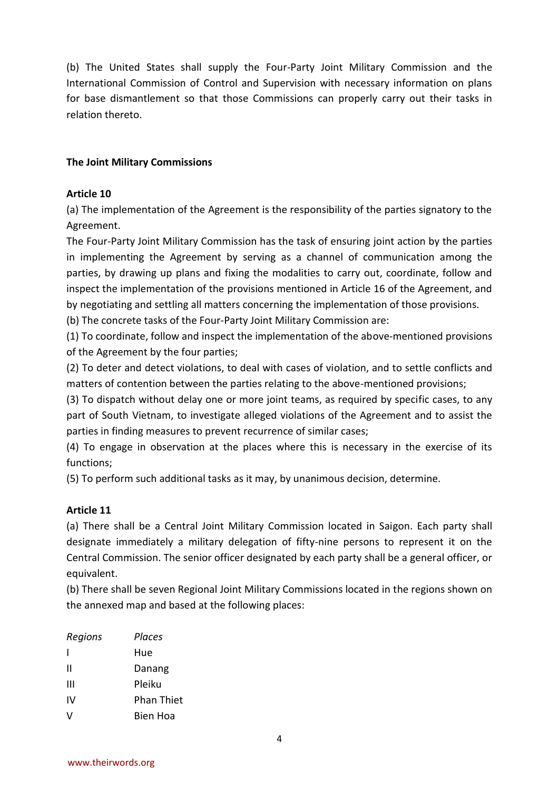(b) The United States shall supply the Four-Party Joint Military Commission and the International Commission of Control and Supervision with necessary information on plans for base dismantlement so that those Commissions can properly carry out their tasks in relation thereto.

### **The Joint Military Commissions**

#### **Article 10**

(a) The implementation of the Agreement is the responsibility of the parties signatory to the Agreement.

The Four-Party Joint Military Commission has the task of ensuring joint action by the parties in implementing the Agreement by serving as a channel of communication among the parties, by drawing up plans and fixing the modalities to carry out, coordinate, follow and inspect the implementation of the provisions mentioned in Article 16 of the Agreement, and by negotiating and settling all matters concerning the implementation of those provisions.

(b) The concrete tasks of the Four-Party Joint Military Commission are:

(1) To coordinate, follow and inspect the implementation of the above-mentioned provisions of the Agreement by the four parties;

(2) To deter and detect violations, to deal with cases of violation, and to settle conflicts and matters of contention between the parties relating to the above-mentioned provisions;

(3) To dispatch without delay one or more joint teams, as required by specific cases, to any part of South Vietnam, to investigate alleged violations of the Agreement and to assist the parties in finding measures to prevent recurrence of similar cases;

(4) To engage in observation at the places where this is necessary in the exercise of its functions;

(5) To perform such additional tasks as it may, by unanimous decision, determine.

# **Article 11**

(a) There shall be a Central Joint Military Commission located in Saigon. Each party shall designate immediately a military delegation of fifty-nine persons to represent it on the Central Commission. The senior officer designated by each party shall be a general officer, or equivalent.

(b) There shall be seven Regional Joint Military Commissions located in the regions shown on the annexed map and based at the following places:

| Regions | Places     |
|---------|------------|
|         | Hue        |
| Ш       | Danang     |
| Ш       | Pleiku     |
| IV      | Phan Thiet |
| V       | Bien Hoa   |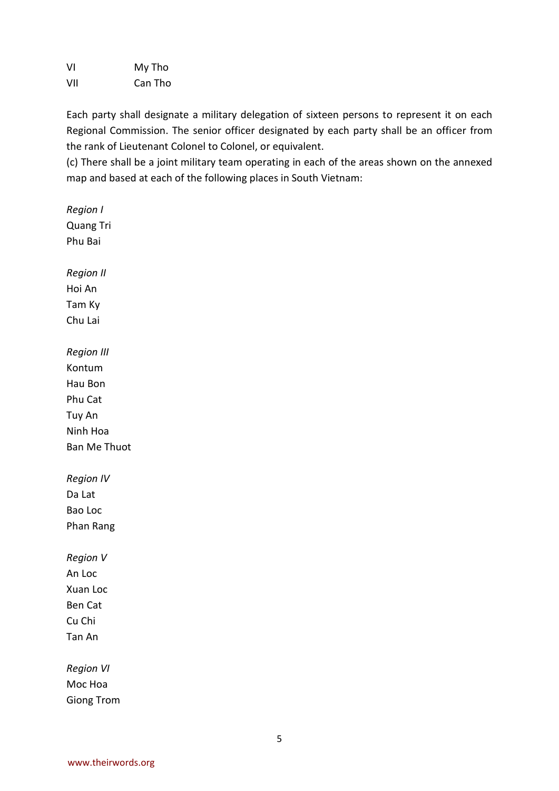VI My Tho VII Can Tho

Each party shall designate a military delegation of sixteen persons to represent it on each Regional Commission. The senior officer designated by each party shall be an officer from the rank of Lieutenant Colonel to Colonel, or equivalent.

(c) There shall be a joint military team operating in each of the areas shown on the annexed map and based at each of the following places in South Vietnam:

*Region I*  Quang Tri Phu Bai *Region II*  Hoi An Tam Ky Chu Lai *Region III*  Kontum Hau Bon Phu Cat Tuy An Ninh Hoa Ban Me Thuot *Region IV*  Da Lat Bao Loc Phan Rang *Region V*  An Loc Xuan Loc Ben Cat Cu Chi Tan An *Region VI*  Moc Hoa Giong Trom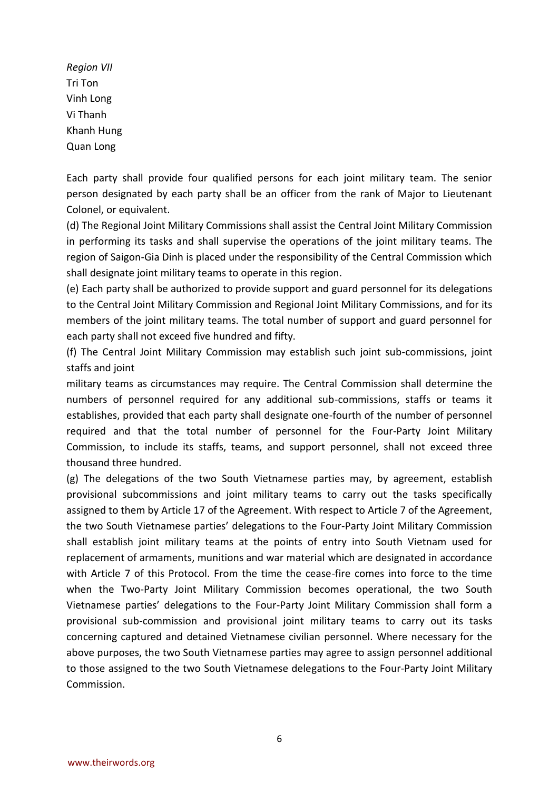*Region VII*  Tri Ton Vinh Long Vi Thanh Khanh Hung Quan Long

Each party shall provide four qualified persons for each joint military team. The senior person designated by each party shall be an officer from the rank of Major to Lieutenant Colonel, or equivalent.

(d) The Regional Joint Military Commissions shall assist the Central Joint Military Commission in performing its tasks and shall supervise the operations of the joint military teams. The region of Saigon-Gia Dinh is placed under the responsibility of the Central Commission which shall designate joint military teams to operate in this region.

(e) Each party shall be authorized to provide support and guard personnel for its delegations to the Central Joint Military Commission and Regional Joint Military Commissions, and for its members of the joint military teams. The total number of support and guard personnel for each party shall not exceed five hundred and fifty.

(f) The Central Joint Military Commission may establish such joint sub-commissions, joint staffs and joint

military teams as circumstances may require. The Central Commission shall determine the numbers of personnel required for any additional sub-commissions, staffs or teams it establishes, provided that each party shall designate one-fourth of the number of personnel required and that the total number of personnel for the Four-Party Joint Military Commission, to include its staffs, teams, and support personnel, shall not exceed three thousand three hundred.

(g) The delegations of the two South Vietnamese parties may, by agreement, establish provisional subcommissions and joint military teams to carry out the tasks specifically assigned to them by Article 17 of the Agreement. With respect to Article 7 of the Agreement, the two South Vietnamese parties' delegations to the Four-Party Joint Military Commission shall establish joint military teams at the points of entry into South Vietnam used for replacement of armaments, munitions and war material which are designated in accordance with Article 7 of this Protocol. From the time the cease-fire comes into force to the time when the Two-Party Joint Military Commission becomes operational, the two South Vietnamese parties' delegations to the Four-Party Joint Military Commission shall form a provisional sub-commission and provisional joint military teams to carry out its tasks concerning captured and detained Vietnamese civilian personnel. Where necessary for the above purposes, the two South Vietnamese parties may agree to assign personnel additional to those assigned to the two South Vietnamese delegations to the Four-Party Joint Military Commission.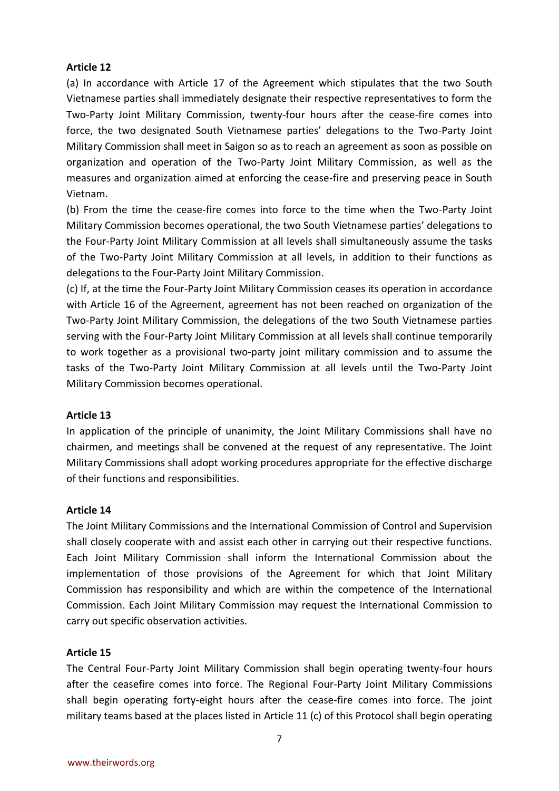#### **Article 12**

(a) In accordance with Article 17 of the Agreement which stipulates that the two South Vietnamese parties shall immediately designate their respective representatives to form the Two-Party Joint Military Commission, twenty-four hours after the cease-fire comes into force, the two designated South Vietnamese parties' delegations to the Two-Party Joint Military Commission shall meet in Saigon so as to reach an agreement as soon as possible on organization and operation of the Two-Party Joint Military Commission, as well as the measures and organization aimed at enforcing the cease-fire and preserving peace in South Vietnam.

(b) From the time the cease-fire comes into force to the time when the Two-Party Joint Military Commission becomes operational, the two South Vietnamese parties' delegations to the Four-Party Joint Military Commission at all levels shall simultaneously assume the tasks of the Two-Party Joint Military Commission at all levels, in addition to their functions as delegations to the Four-Party Joint Military Commission.

(c) If, at the time the Four-Party Joint Military Commission ceases its operation in accordance with Article 16 of the Agreement, agreement has not been reached on organization of the Two-Party Joint Military Commission, the delegations of the two South Vietnamese parties serving with the Four-Party Joint Military Commission at all levels shall continue temporarily to work together as a provisional two-party joint military commission and to assume the tasks of the Two-Party Joint Military Commission at all levels until the Two-Party Joint Military Commission becomes operational.

#### **Article 13**

In application of the principle of unanimity, the Joint Military Commissions shall have no chairmen, and meetings shall be convened at the request of any representative. The Joint Military Commissions shall adopt working procedures appropriate for the effective discharge of their functions and responsibilities.

#### **Article 14**

The Joint Military Commissions and the International Commission of Control and Supervision shall closely cooperate with and assist each other in carrying out their respective functions. Each Joint Military Commission shall inform the International Commission about the implementation of those provisions of the Agreement for which that Joint Military Commission has responsibility and which are within the competence of the International Commission. Each Joint Military Commission may request the International Commission to carry out specific observation activities.

#### **Article 15**

The Central Four-Party Joint Military Commission shall begin operating twenty-four hours after the ceasefire comes into force. The Regional Four-Party Joint Military Commissions shall begin operating forty-eight hours after the cease-fire comes into force. The joint military teams based at the places listed in Article 11 (c) of this Protocol shall begin operating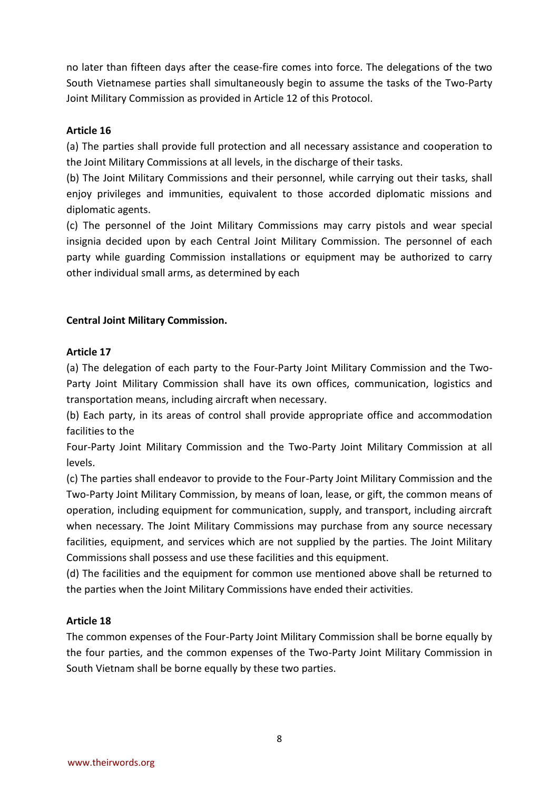no later than fifteen days after the cease-fire comes into force. The delegations of the two South Vietnamese parties shall simultaneously begin to assume the tasks of the Two-Party Joint Military Commission as provided in Article 12 of this Protocol.

# **Article 16**

(a) The parties shall provide full protection and all necessary assistance and cooperation to the Joint Military Commissions at all levels, in the discharge of their tasks.

(b) The Joint Military Commissions and their personnel, while carrying out their tasks, shall enjoy privileges and immunities, equivalent to those accorded diplomatic missions and diplomatic agents.

(c) The personnel of the Joint Military Commissions may carry pistols and wear special insignia decided upon by each Central Joint Military Commission. The personnel of each party while guarding Commission installations or equipment may be authorized to carry other individual small arms, as determined by each

# **Central Joint Military Commission.**

# **Article 17**

(a) The delegation of each party to the Four-Party Joint Military Commission and the Two-Party Joint Military Commission shall have its own offices, communication, logistics and transportation means, including aircraft when necessary.

(b) Each party, in its areas of control shall provide appropriate office and accommodation facilities to the

Four-Party Joint Military Commission and the Two-Party Joint Military Commission at all levels.

(c) The parties shall endeavor to provide to the Four-Party Joint Military Commission and the Two-Party Joint Military Commission, by means of loan, lease, or gift, the common means of operation, including equipment for communication, supply, and transport, including aircraft when necessary. The Joint Military Commissions may purchase from any source necessary facilities, equipment, and services which are not supplied by the parties. The Joint Military Commissions shall possess and use these facilities and this equipment.

(d) The facilities and the equipment for common use mentioned above shall be returned to the parties when the Joint Military Commissions have ended their activities.

# **Article 18**

The common expenses of the Four-Party Joint Military Commission shall be borne equally by the four parties, and the common expenses of the Two-Party Joint Military Commission in South Vietnam shall be borne equally by these two parties.